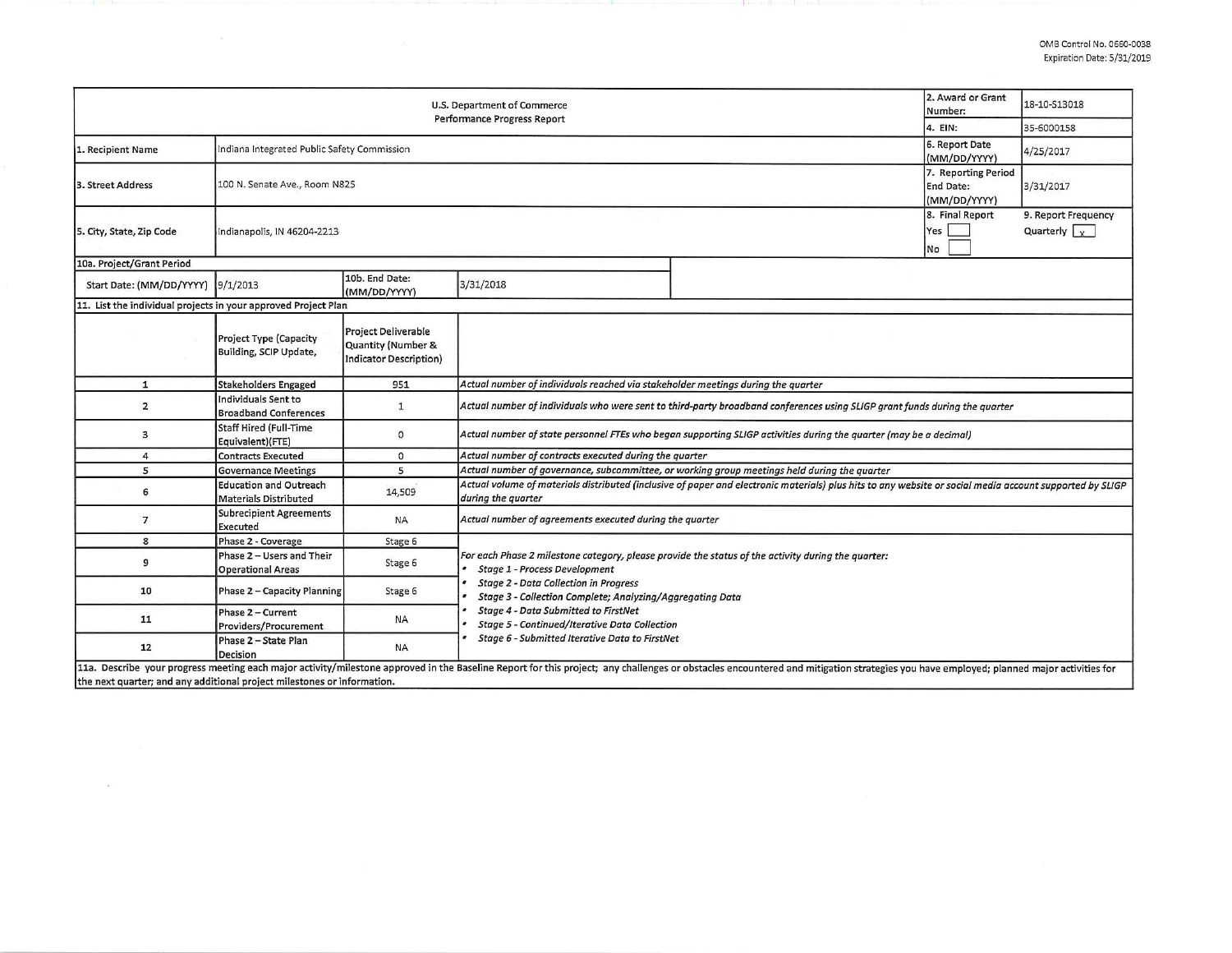|                                                                                                                                                                                                                                | 2. Award or Grant<br>Number:                           | 18-10-S13018                                                                      |                                                                                                                                                                                |  |  |  |  |  |  |  |  |
|--------------------------------------------------------------------------------------------------------------------------------------------------------------------------------------------------------------------------------|--------------------------------------------------------|-----------------------------------------------------------------------------------|--------------------------------------------------------------------------------------------------------------------------------------------------------------------------------|--|--|--|--|--|--|--|--|
|                                                                                                                                                                                                                                | 4. EIN:                                                | 35-6000158                                                                        |                                                                                                                                                                                |  |  |  |  |  |  |  |  |
| 1. Recipient Name                                                                                                                                                                                                              | Indiana Integrated Public Safety Commission            | 6. Report Date<br>(MM/DD/YYYY)                                                    | 4/25/2017                                                                                                                                                                      |  |  |  |  |  |  |  |  |
| 3. Street Address                                                                                                                                                                                                              | 100 N. Senate Ave., Room N825                          | 7. Reporting Period<br>End Date:<br>(MM/DD/YYYY)                                  | 3/31/2017                                                                                                                                                                      |  |  |  |  |  |  |  |  |
| 5. City, State, Zip Code                                                                                                                                                                                                       | Indianapolis, IN 46204-2213                            | 8. Final Report<br>Yes<br>No                                                      | 9. Report Frequency<br>Quarterly $\sqrt{x}$                                                                                                                                    |  |  |  |  |  |  |  |  |
| 10a. Project/Grant Period                                                                                                                                                                                                      |                                                        |                                                                                   |                                                                                                                                                                                |  |  |  |  |  |  |  |  |
| Start Date: (MM/DD/YYYY) 9/1/2013                                                                                                                                                                                              |                                                        | 10b. End Date:<br>(MM/DD/YYYY)                                                    | 3/31/2018                                                                                                                                                                      |  |  |  |  |  |  |  |  |
| 11. List the individual projects in your approved Project Plan                                                                                                                                                                 |                                                        |                                                                                   |                                                                                                                                                                                |  |  |  |  |  |  |  |  |
|                                                                                                                                                                                                                                | Project Type (Capacity<br>Building, SCIP Update,       | <b>Project Deliverable</b><br>Quantity (Number &<br><b>Indicator Description)</b> |                                                                                                                                                                                |  |  |  |  |  |  |  |  |
| $\mathbf{1}$                                                                                                                                                                                                                   | <b>Stakeholders Engaged</b>                            | 951                                                                               | Actual number of individuals reached via stakeholder meetings during the quarter                                                                                               |  |  |  |  |  |  |  |  |
| $\overline{2}$                                                                                                                                                                                                                 | Individuals Sent to<br><b>Broadband Conferences</b>    | 1                                                                                 | Actual number of individuals who were sent to third-party broadband conferences using SLIGP grant funds during the quarter                                                     |  |  |  |  |  |  |  |  |
| 3                                                                                                                                                                                                                              | <b>Staff Hired (Full-Time</b><br>Equivalent)(FTE)      | 0                                                                                 | Actual number of state personnel FTEs who began supporting SLIGP activities during the quarter (may be a decimal)                                                              |  |  |  |  |  |  |  |  |
| 4                                                                                                                                                                                                                              | <b>Contracts Executed</b>                              | 0                                                                                 | Actual number of contracts executed during the quarter                                                                                                                         |  |  |  |  |  |  |  |  |
| 5                                                                                                                                                                                                                              | <b>Governance Meetings</b>                             | 5                                                                                 | Actual number of governance, subcommittee, or working group meetings held during the quarter                                                                                   |  |  |  |  |  |  |  |  |
| 6                                                                                                                                                                                                                              | <b>Education and Outreach</b><br>Materials Distributed | 14,509                                                                            | Actual volume of materials distributed (inclusive of paper and electronic materials) plus hits to any website or social media account supported by SLIGP<br>during the quarter |  |  |  |  |  |  |  |  |
| 7                                                                                                                                                                                                                              | <b>Subrecipient Agreements</b><br>Executed             | <b>NA</b>                                                                         | Actual number of agreements executed during the quarter                                                                                                                        |  |  |  |  |  |  |  |  |
| 8                                                                                                                                                                                                                              | Phase 2 - Coverage                                     | Stage 6                                                                           |                                                                                                                                                                                |  |  |  |  |  |  |  |  |
| 9                                                                                                                                                                                                                              | Phase 2 - Users and Their<br><b>Operational Areas</b>  | Stage 6                                                                           | For each Phase 2 milestone category, please provide the status of the activity during the quarter:<br><b>Stage 1 - Process Development</b>                                     |  |  |  |  |  |  |  |  |
| 10                                                                                                                                                                                                                             | Phase 2 - Capacity Planning                            | Stage 6                                                                           | <b>Stage 2 - Data Collection in Progress</b><br>Stage 3 - Collection Complete; Analyzing/Aggregating Data                                                                      |  |  |  |  |  |  |  |  |
| 11                                                                                                                                                                                                                             | Phase 2 - Current<br>Providers/Procurement             | <b>NA</b>                                                                         | Stage 4 - Data Submitted to FirstNet<br>Stage 5 - Continued/Iterative Data Collection                                                                                          |  |  |  |  |  |  |  |  |
| 12                                                                                                                                                                                                                             | Phase 2 - State Plan<br>Decision                       | <b>NA</b>                                                                         | Stage 6 - Submitted Iterative Data to FirstNet                                                                                                                                 |  |  |  |  |  |  |  |  |
| 11a. Describe your progress meeting each major activity/milestone approved in the Baseline Report for this project; any challenges or obstacles encountered and mitigation strategies you have employed; planned major activit |                                                        |                                                                                   |                                                                                                                                                                                |  |  |  |  |  |  |  |  |

the next quarter; and any additional project milestones or information.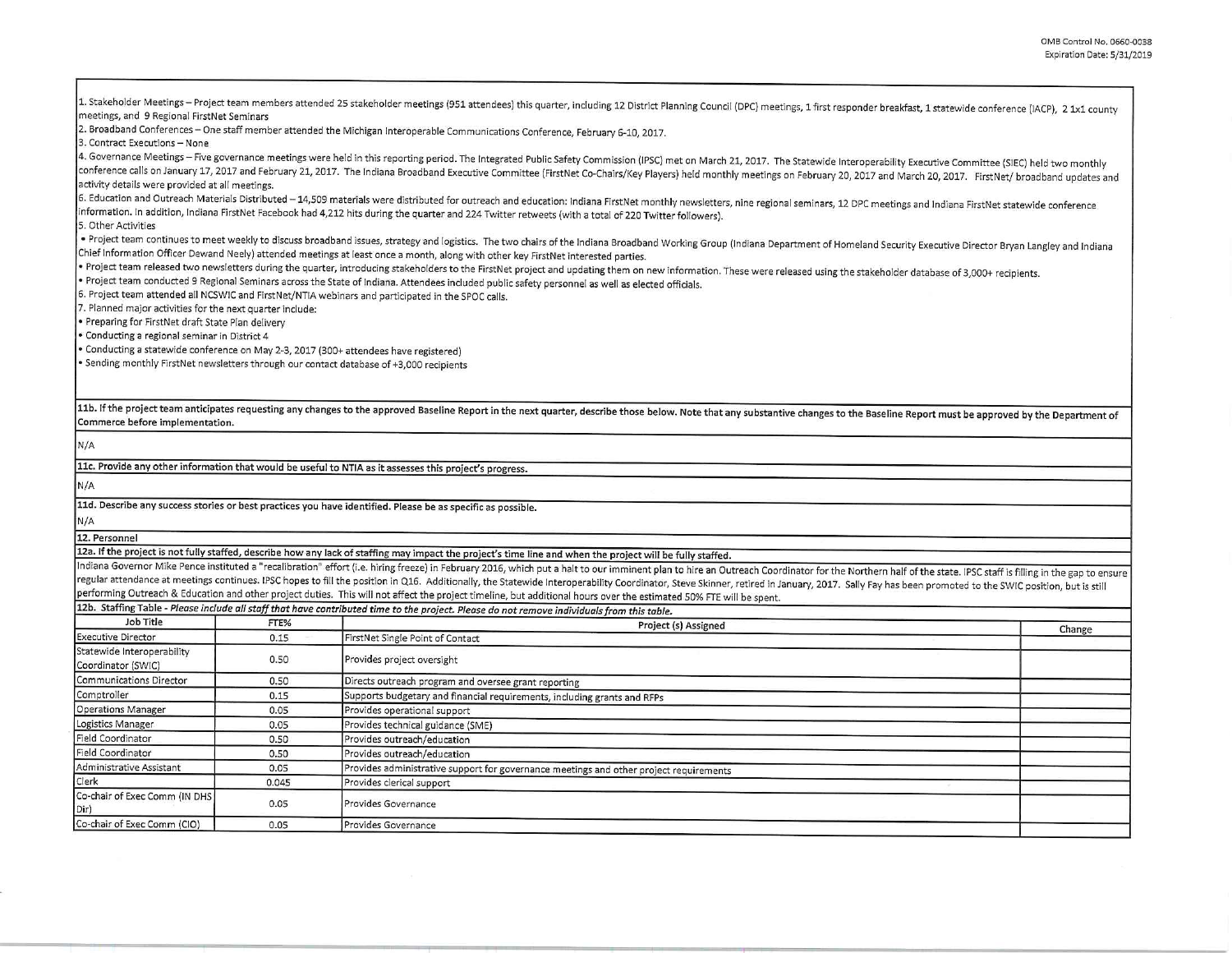1. Stakeholder Meetings – Project team members attended 25 stakeholder meetings (951 attendees) this quarter, including 12 District Planning Council (DPC) meetings, 1 first responder breakfast, 1 statewide conference (IACP 2. Broadband Conferences - One staff member attended the Michigan Interoperable Communications Conference, February 6-10, 2017. 3. Contract Executions - None 4. Governance Meetings - Five governance meetings were held in this reporting period. The Integrated Public Safety Commission (IPSC) met on March 21, 2017. The Statewide Interoperability Executive Committee (SIEC) held two conference calls on January 17, 2017 and February 21, 2017. The Indiana Broadband Executive Committee (FirstNet Co-Chairs/Key Players) held monthly meetings on February 20, 2017 and March 20, 2017. FirstNet/ broadband upda 6. Education and Outreach Materials Distributed - 14,509 materials were distributed for outreach and education: Indiana FirstNet monthly newsletters, nine regional seminars, 12 DPC meetings and Indiana FirstNet statewide c information. In addition, Indiana FirstNet Facebook had 4,212 hits during the quarter and 224 Twitter retweets (with a total of 220 Twitter followers). 5. Other Activities . Project team continues to meet weekly to discuss broadband issues, strategy and logistics. The two chairs of the Indiana Broadband Working Group (Indiana Department of Homeland Security Executive Director Bryan Langley a Chief Information Officer Dewand Neely) attended meetings at least once a month, along with other key FirstNet interested parties. • Project team released two newsletters during the quarter, introducing stakeholders to the FirstNet project and updating them on new information. These were released using the stakeholder database of 3,000+ recipients. • Project team conducted 9 Regional Seminars across the State of Indiana. Attendees included public safety personnel as well as elected officials. 6. Project team attended all NCSWIC and FirstNet/NTIA webinars and participated in the SPOC calls. 7. Planned major activities for the next quarter include: • Preparing for FirstNet draft State Plan delivery • **Conducting a regional seminar in District 4**  • Conducting a statewide conference on May 2-3, 2017 (300+ attendees have registered) • Sending monthly FirstNet newsletters through our contact database of +3,000 recipients 11b. If the project team anticipates requesting any changes to the approved Baseline Report in the next quarter, describe those below. Note that any substantive changes to the Baseline Report must be approved by the Depart Commerce before implementation. N/A llc. Provide any other information that would be useful to NTIA as it assesses this project's progress. N/A lld. Describe any success stories or best practices you have identified. Please be as specific as possible. N/A 12. Personnel 12a. If the project is not fully staffed, describe how any lack of staffing may impact the project's time line and when the project will be fully staffed. Indiana Governor Mike Pence instituted a "recalibration" effort (i.e. hiring freeze) in February 2016, which put a halt to our imminent plan to hire an Outreach Coordinator for the Northern half of the state. IPSC staff is regular attendance at meetings continues. IPSC hopes to fill the position in Q16. Additionally, the Statewide Interoperability Coordinator, Steve Skinner, retired in January, 2017. Sally Fay has been promoted to the SWIC p performing Outreach & Education and other project duties. This will not affect the project timeline, but additional hours over the estimated 50% FTE will be spent. 12b. Staffing Table - *Please include all staff that have contributed time to the project. Please do not remove individuals from this table.*  Job Title FTE% FTE% FTE% Project (s) Assigned Project (s) Assigned Change Change Change Change Change Change Change Change Change Change Change Change Change Change Change Change Change Change Change Change Change Change C Statewide Interoperability 1.50 Provides project oversight Coordinator (SWIC) Communications Director 0.50 Directs outreach program and oversee grant reporting Comptroller **Computer Computer 1.15** Computer Supports budgetary and financial requirements, including grants and RFPs Operations Manager **Disk Report** 1.005 Provides operational support Loeistics Manager 0.05 Provides technical guidance (SME) Field Coordinator **Coordination a.so Provides outreach/education** Field Coordinator **Field Coordinator 1988** O.50 Provides outreach/education Administrative Assistant 1.005 Provides administrative support for governance meetings and other project requirements Clerk 0.045 Provides clerical support Co-chair of Exec Comm (IN OHS 0.05 **Provides Governance** Dir) Co-chair of Exec Comm (CIO) 0.05 **Provides Governance**